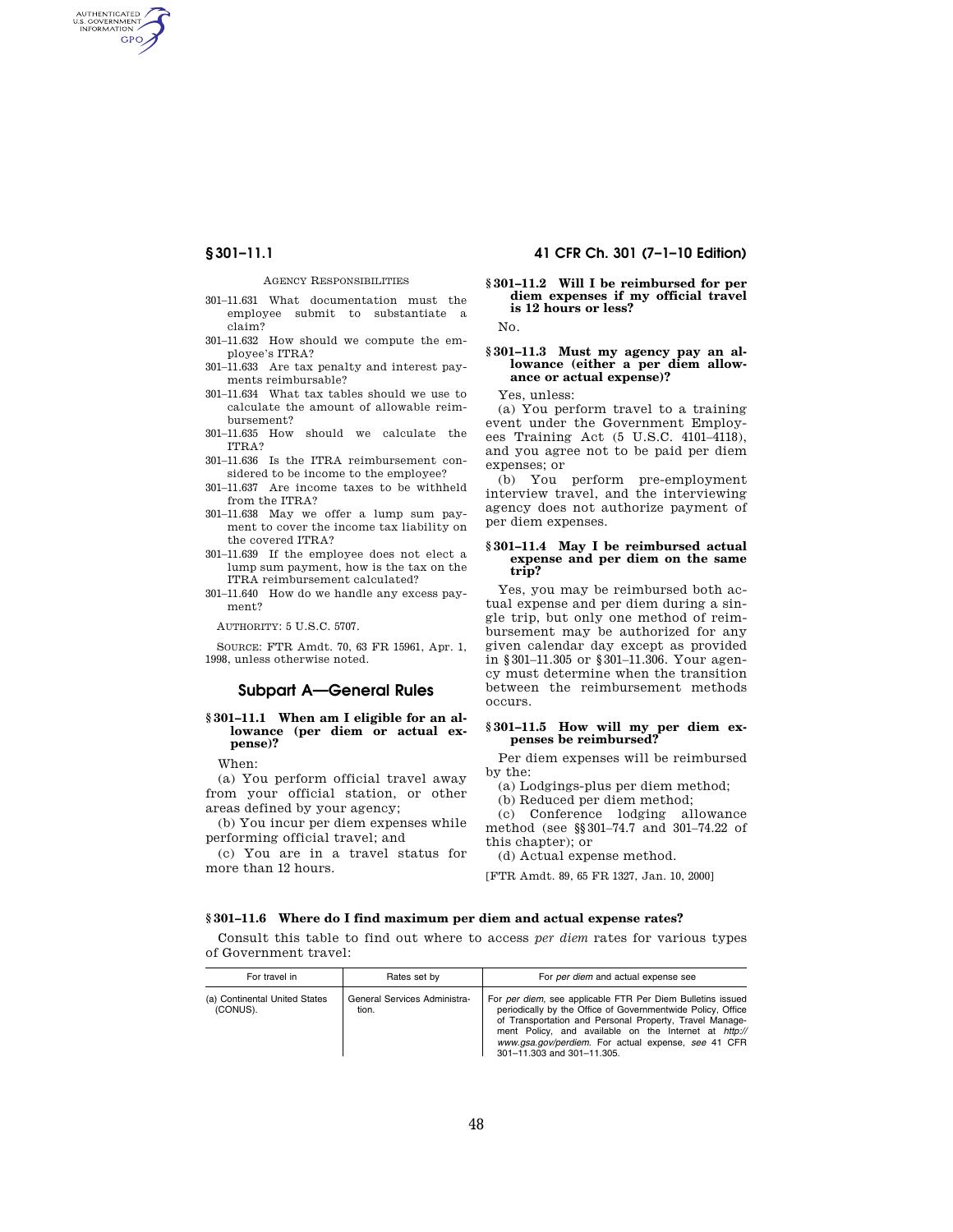AUTHENTICATED<br>U.S. GOVERNMENT<br>INFORMATION **GPO** 

### AGENCY RESPONSIBILITIES

- 301–11.631 What documentation must the employee submit to substantiate a claim?
- 301–11.632 How should we compute the employee's ITRA?
- 301–11.633 Are tax penalty and interest payments reimbursable?
- 301–11.634 What tax tables should we use to calculate the amount of allowable reimbursement?
- 301–11.635 How should we calculate the ITRA?
- 301–11.636 Is the ITRA reimbursement considered to be income to the employee?
- 301–11.637 Are income taxes to be withheld from the ITRA?
- 301–11.638 May we offer a lump sum payment to cover the income tax liability on the covered ITRA?
- 301–11.639 If the employee does not elect a lump sum payment, how is the tax on the ITRA reimbursement calculated?
- 301–11.640 How do we handle any excess payment?

AUTHORITY: 5 U.S.C. 5707.

SOURCE: FTR Amdt. 70, 63 FR 15961, Apr. 1, 1998, unless otherwise noted.

# **Subpart A—General Rules**

# **§ 301–11.1 When am I eligible for an allowance (per diem or actual expense)?**

When:

(a) You perform official travel away from your official station, or other areas defined by your agency;

(b) You incur per diem expenses while performing official travel; and

(c) You are in a travel status for more than 12 hours.

# **§ 301–11.1 41 CFR Ch. 301 (7–1–10 Edition)**

# **§ 301–11.2 Will I be reimbursed for per diem expenses if my official travel is 12 hours or less?**

No.

### **§ 301–11.3 Must my agency pay an al**lowance (either a per diem allow**ance or actual expense)?**

Yes, unless:

(a) You perform travel to a training event under the Government Employees Training Act (5 U.S.C. 4101–4118), and you agree not to be paid per diem expenses; or

(b) You perform pre-employment interview travel, and the interviewing agency does not authorize payment of per diem expenses.

### **§ 301–11.4 May I be reimbursed actual expense and per diem on the same trip?**

Yes, you may be reimbursed both actual expense and per diem during a single trip, but only one method of reimbursement may be authorized for any given calendar day except as provided in §301–11.305 or §301–11.306. Your agency must determine when the transition between the reimbursement methods occurs.

#### **§ 301–11.5 How will my per diem expenses be reimbursed?**

Per diem expenses will be reimbursed by the:

(a) Lodgings-plus per diem method;

(b) Reduced per diem method;

(c) Conference lodging allowance method (see §§301–74.7 and 301–74.22 of this chapter); or

(d) Actual expense method.

[FTR Amdt. 89, 65 FR 1327, Jan. 10, 2000]

#### **§ 301–11.6 Where do I find maximum per diem and actual expense rates?**

Consult this table to find out where to access *per diem* rates for various types of Government travel:

| For travel in                             | Rates set by                          | For per diem and actual expense see                                                                                                                                                                                                                                                                                                |
|-------------------------------------------|---------------------------------------|------------------------------------------------------------------------------------------------------------------------------------------------------------------------------------------------------------------------------------------------------------------------------------------------------------------------------------|
| (a) Continental United States<br>(CONUS). | General Services Administra-<br>tion. | For per diem, see applicable FTR Per Diem Bulletins issued<br>periodically by the Office of Governmentwide Policy, Office<br>of Transportation and Personal Property, Travel Manage-<br>ment Policy, and available on the Internet at http://<br>www.gsa.gov/perdiem. For actual expense, see 41 CFR<br>301-11.303 and 301-11.305. |